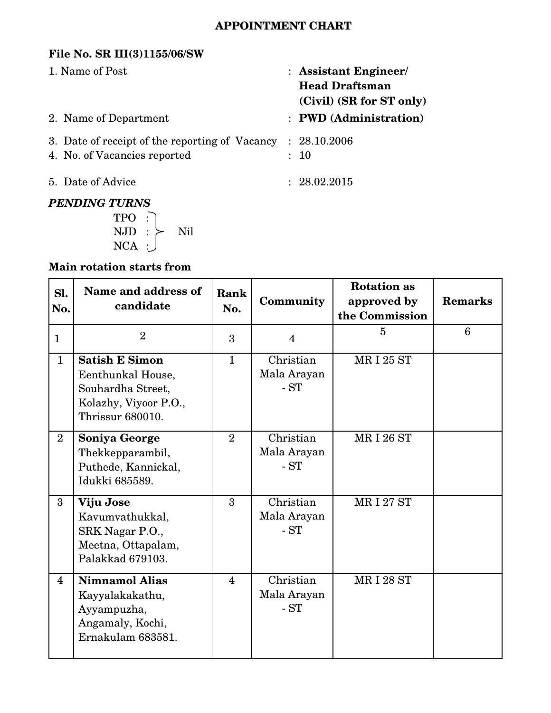## **APPOINTMENT CHART**

### **File No. SR III(3)1155/06/SW**

| 1. Name of Post                                                                | : Assistant Engineer/<br><b>Head Draftsman</b><br>(Civil) (SR for ST only) |  |
|--------------------------------------------------------------------------------|----------------------------------------------------------------------------|--|
| 2. Name of Department                                                          | : PWD (Administration)                                                     |  |
| 3. Date of receipt of the reporting of Vacancy<br>4. No. of Vacancies reported | : 28.10.2006<br>: 10                                                       |  |
| 5. Date of Advice                                                              | : 28.02.2015                                                               |  |
| <b>PENDING TURNS</b>                                                           |                                                                            |  |

## *PENDING TURNS*

TPO :  $\text{NJD}$   $:$   $\succ$   $\text{Nil}$ NCA :

# **Main rotation starts from**

| Sl.<br>No.              | Name and address of<br>candidate                                                                             | Rank<br>No.    | Community                         | <b>Rotation</b> as<br>approved by<br>the Commission | <b>Remarks</b> |
|-------------------------|--------------------------------------------------------------------------------------------------------------|----------------|-----------------------------------|-----------------------------------------------------|----------------|
| $\mathbf{1}$            | $\overline{2}$                                                                                               | 3              | $\overline{4}$                    | $\overline{5}$                                      | 6              |
| $\mathbf{1}$            | <b>Satish E Simon</b><br>Eenthunkal House,<br>Souhardha Street,<br>Kolazhy, Viyoor P.O.,<br>Thrissur 680010. | $\mathbf{1}$   | Christian<br>Mala Arayan<br>$-ST$ | <b>MRI 25 ST</b>                                    |                |
| $\overline{2}$          | Soniya George<br>Thekkepparambil,<br>Puthede, Kannickal,<br>Idukki 685589.                                   | $\overline{2}$ | Christian<br>Mala Arayan<br>$-ST$ | <b>MRI 26 ST</b>                                    |                |
| 3                       | Viju Jose<br>Kavumvathukkal,<br>SRK Nagar P.O.,<br>Meetna, Ottapalam,<br>Palakkad 679103.                    | 3              | Christian<br>Mala Arayan<br>$-ST$ | <b>MRI 27 ST</b>                                    |                |
| $\overline{\mathbf{4}}$ | <b>Nimnamol Alias</b><br>Kayyalakakathu,<br>Ayyampuzha,<br>Angamaly, Kochi,<br>Ernakulam 683581.             | $\overline{4}$ | Christian<br>Mala Arayan<br>$-ST$ | <b>MRI 28 ST</b>                                    |                |